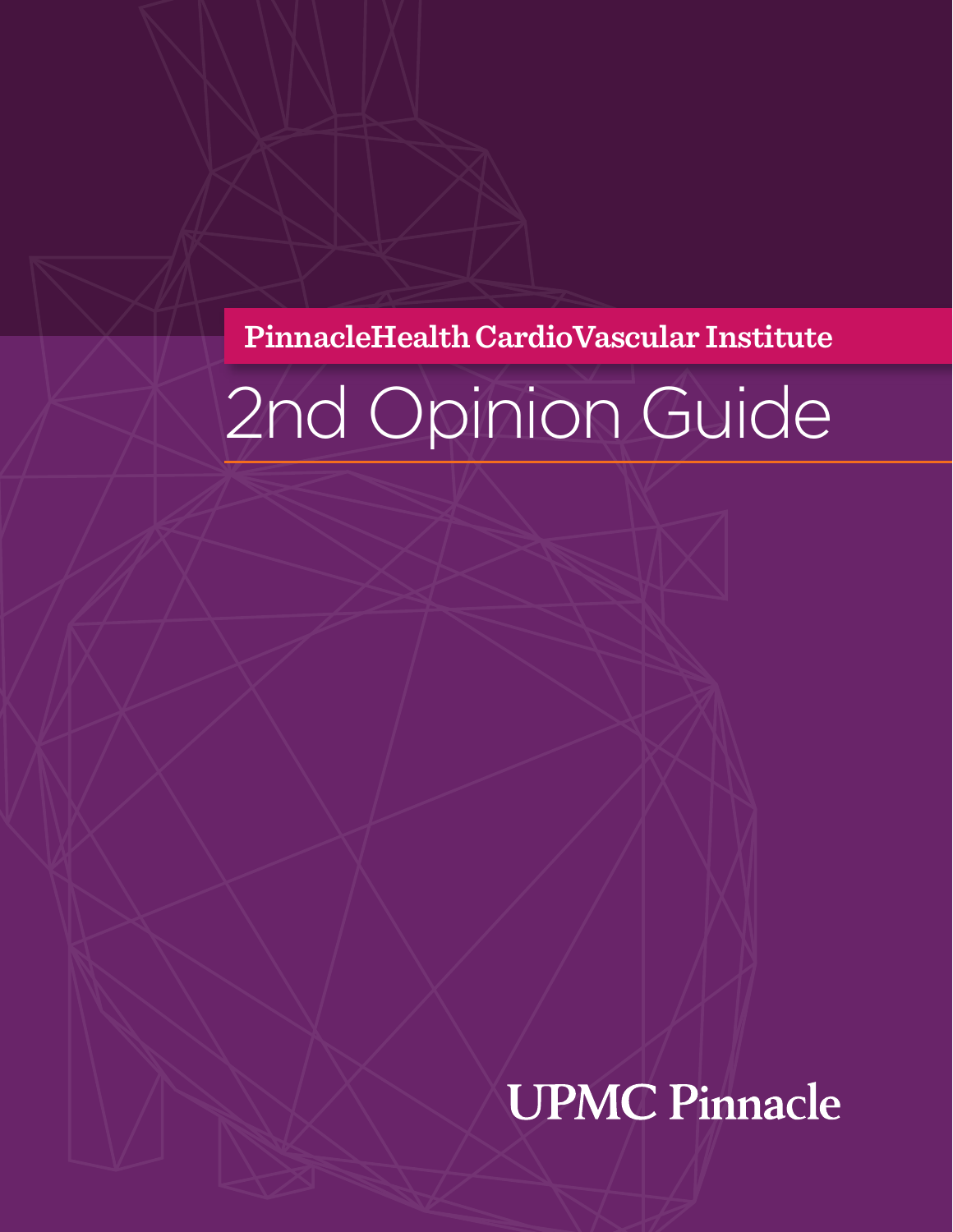**PinnacleHealth CardioVascular Institute**

# 2nd Opinion Guide

**UPMC Pinnacle**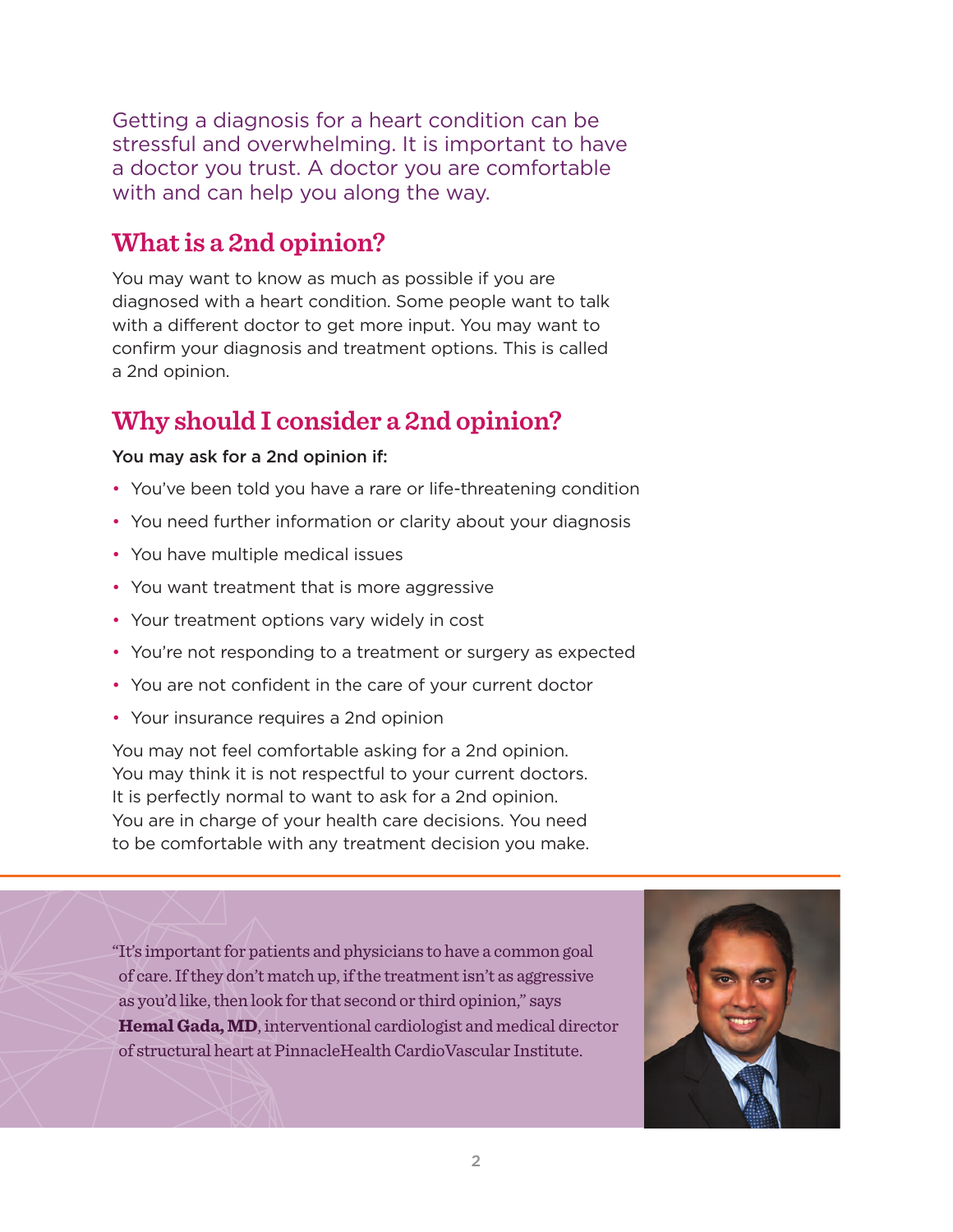Getting a diagnosis for a heart condition can be stressful and overwhelming. It is important to have a doctor you trust. A doctor you are comfortable with and can help you along the way.

#### **What is a 2nd opinion?**

You may want to know as much as possible if you are diagnosed with a heart condition. Some people want to talk with a different doctor to get more input. You may want to confirm your diagnosis and treatment options. This is called a 2nd opinion.

## **Why should I consider a 2nd opinion?**

#### You may ask for a 2nd opinion if:

- You've been told you have a rare or life-threatening condition
- You need further information or clarity about your diagnosis
- You have multiple medical issues
- You want treatment that is more aggressive
- Your treatment options vary widely in cost
- You're not responding to a treatment or surgery as expected
- You are not confident in the care of your current doctor
- Your insurance requires a 2nd opinion

You may not feel comfortable asking for a 2nd opinion. You may think it is not respectful to your current doctors. It is perfectly normal to want to ask for a 2nd opinion. You are in charge of your health care decisions. You need to be comfortable with any treatment decision you make.

"It's important for patients and physicians to have a common goal of care. If they don't match up, if the treatment isn't as aggressive as you'd like, then look for that second or third opinion," says **Hemal Gada, MD**, interventional cardiologist and medical director of structural heart at PinnacleHealth CardioVascular Institute.

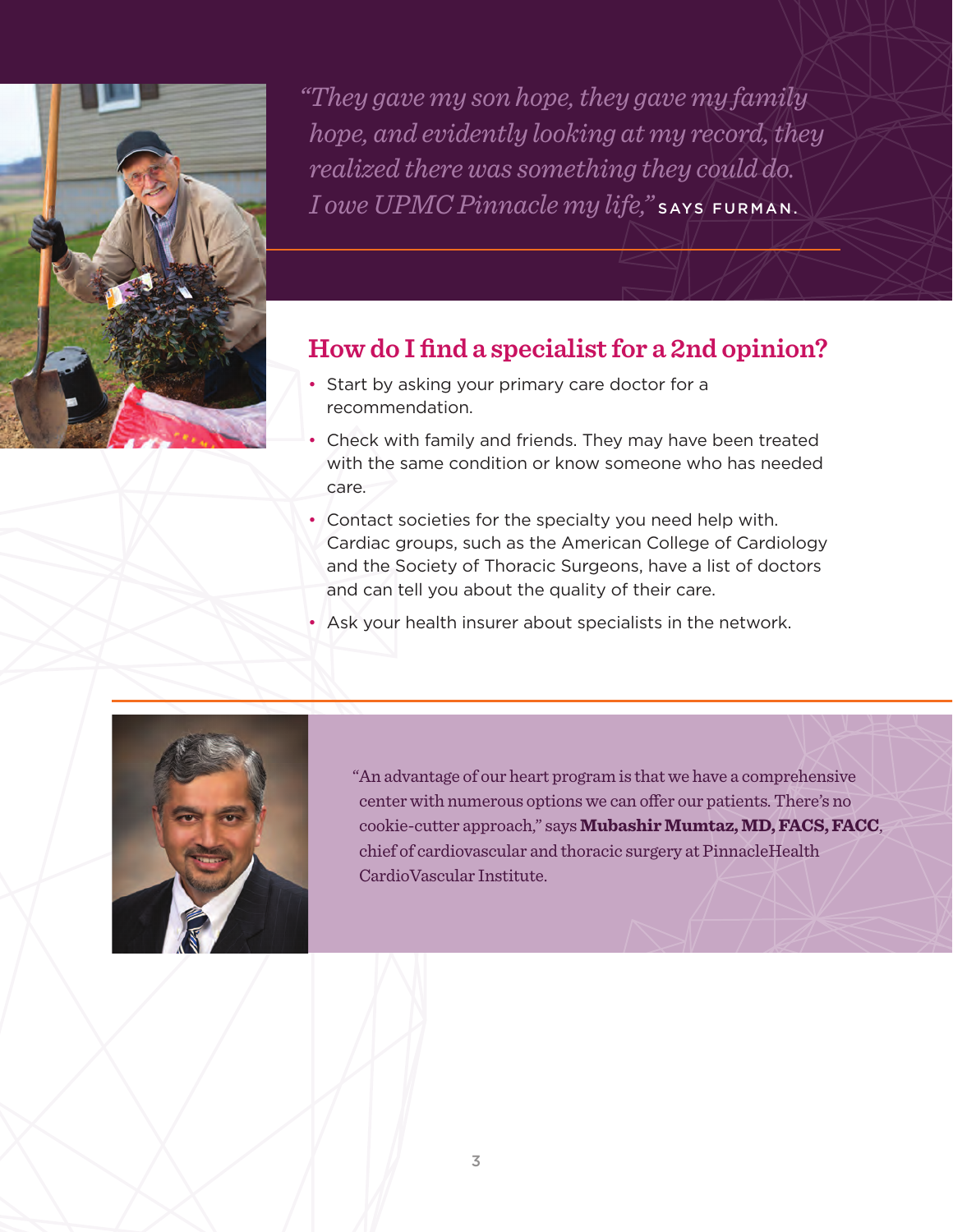

*"They gave my son hope, they gave my family hope, and evidently looking at my record, they realized there was something they could do. I owe UPMC Pinnacle my life,"* SAYS FURMAN.

## **How do I find a specialist for a 2nd opinion?**

- Start by asking your primary care doctor for a recommendation.
- Check with family and friends. They may have been treated with the same condition or know someone who has needed care.
- Contact societies for the specialty you need help with. Cardiac groups, such as the American College of Cardiology and the Society of Thoracic Surgeons, have a list of doctors and can tell you about the quality of their care.
- Ask your health insurer about specialists in the network.



"An advantage of our heart program is that we have a comprehensive center with numerous options we can offer our patients. There's no cookie-cutter approach," says **Mubashir Mumtaz, MD, FACS, FACC**, chief of cardiovascular and thoracic surgery at PinnacleHealth CardioVascular Institute.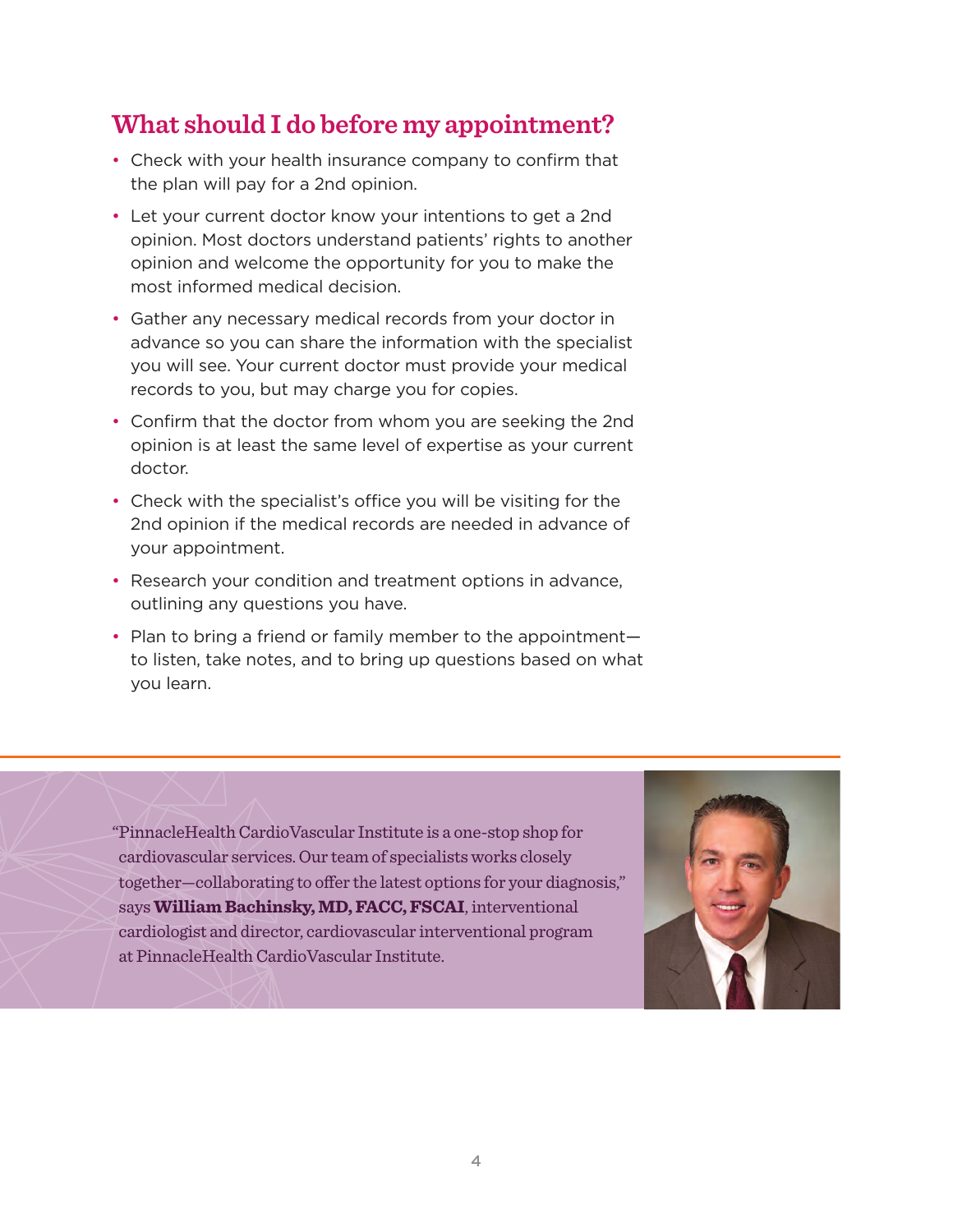#### **What should I do before my appointment?**

- Check with your health insurance company to confirm that the plan will pay for a 2nd opinion.
- Let your current doctor know your intentions to get a 2nd opinion. Most doctors understand patients' rights to another opinion and welcome the opportunity for you to make the most informed medical decision.
- Gather any necessary medical records from your doctor in advance so you can share the information with the specialist you will see. Your current doctor must provide your medical records to you, but may charge you for copies.
- Confirm that the doctor from whom you are seeking the 2nd opinion is at least the same level of expertise as your current doctor.
- Check with the specialist's office you will be visiting for the 2nd opinion if the medical records are needed in advance of your appointment.
- Research your condition and treatment options in advance, outlining any questions you have.
- Plan to bring a friend or family member to the appointment to listen, take notes, and to bring up questions based on what you learn.

"PinnacleHealth CardioVascular Institute is a one-stop shop for cardiovascular services. Our team of specialists works closely together—collaborating to offer the latest options for your diagnosis," says **William Bachinsky, MD, FACC, FSCAI**, interventional cardiologist and director, cardiovascular interventional program at PinnacleHealth CardioVascular Institute.

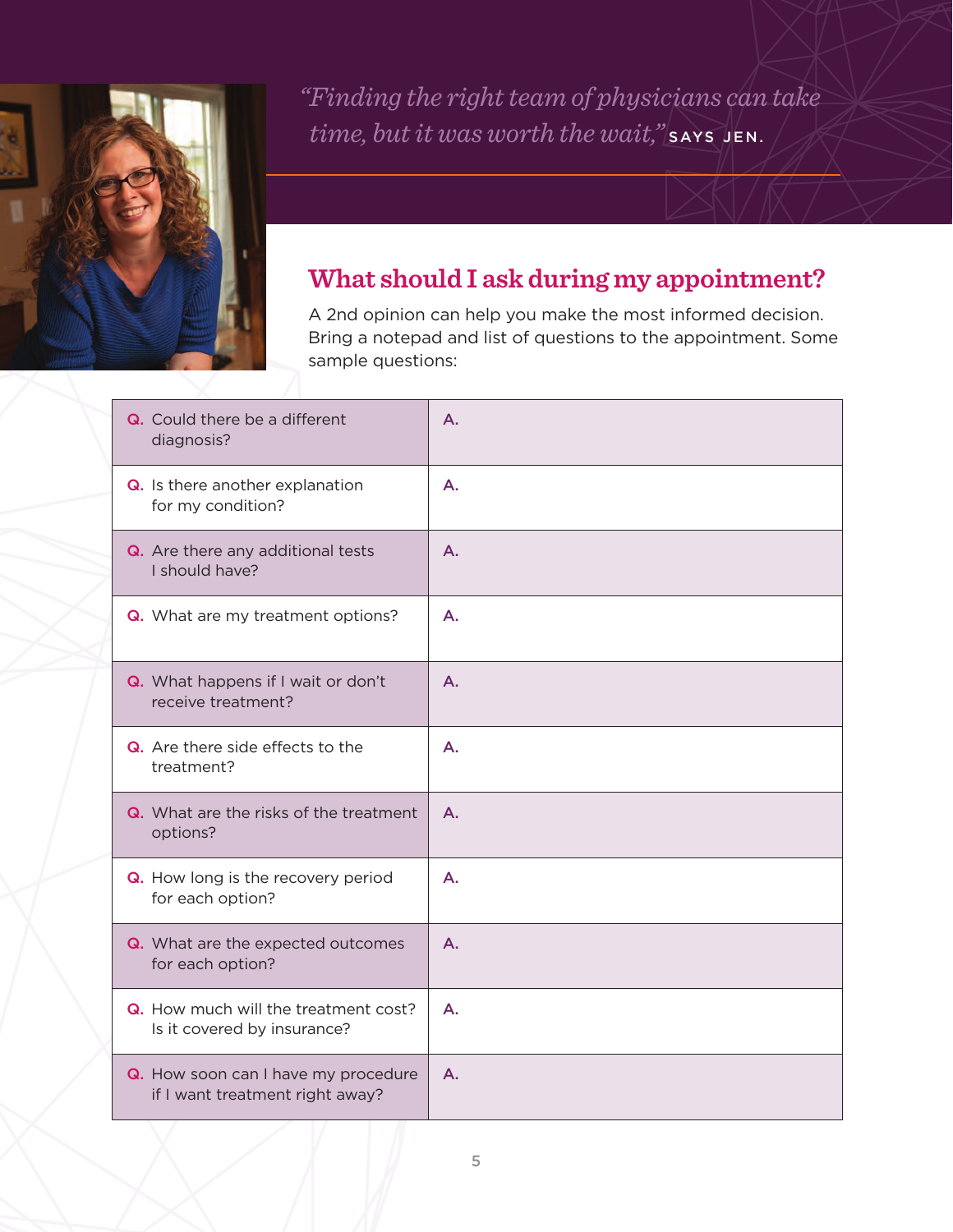

*"Finding the right team of physicians can take time, but it was worth the wait*," SAYS JEN.

## **What should I ask during my appointment?**

A 2nd opinion can help you make the most informed decision. Bring a notepad and list of questions to the appointment. Some sample questions:

| Q. Could there be a different<br>diagnosis?                            | А. |
|------------------------------------------------------------------------|----|
| Q. Is there another explanation<br>for my condition?                   | Α. |
| Q. Are there any additional tests<br>I should have?                    | Α. |
| Q. What are my treatment options?                                      | Α. |
| Q. What happens if I wait or don't<br>receive treatment?               | A. |
| Q. Are there side effects to the<br>treatment?                         | Α. |
| Q. What are the risks of the treatment<br>options?                     | A. |
| Q. How long is the recovery period<br>for each option?                 | Α. |
| Q. What are the expected outcomes<br>for each option?                  | Α. |
| Q. How much will the treatment cost?<br>Is it covered by insurance?    | А. |
| Q. How soon can I have my procedure<br>if I want treatment right away? | Α. |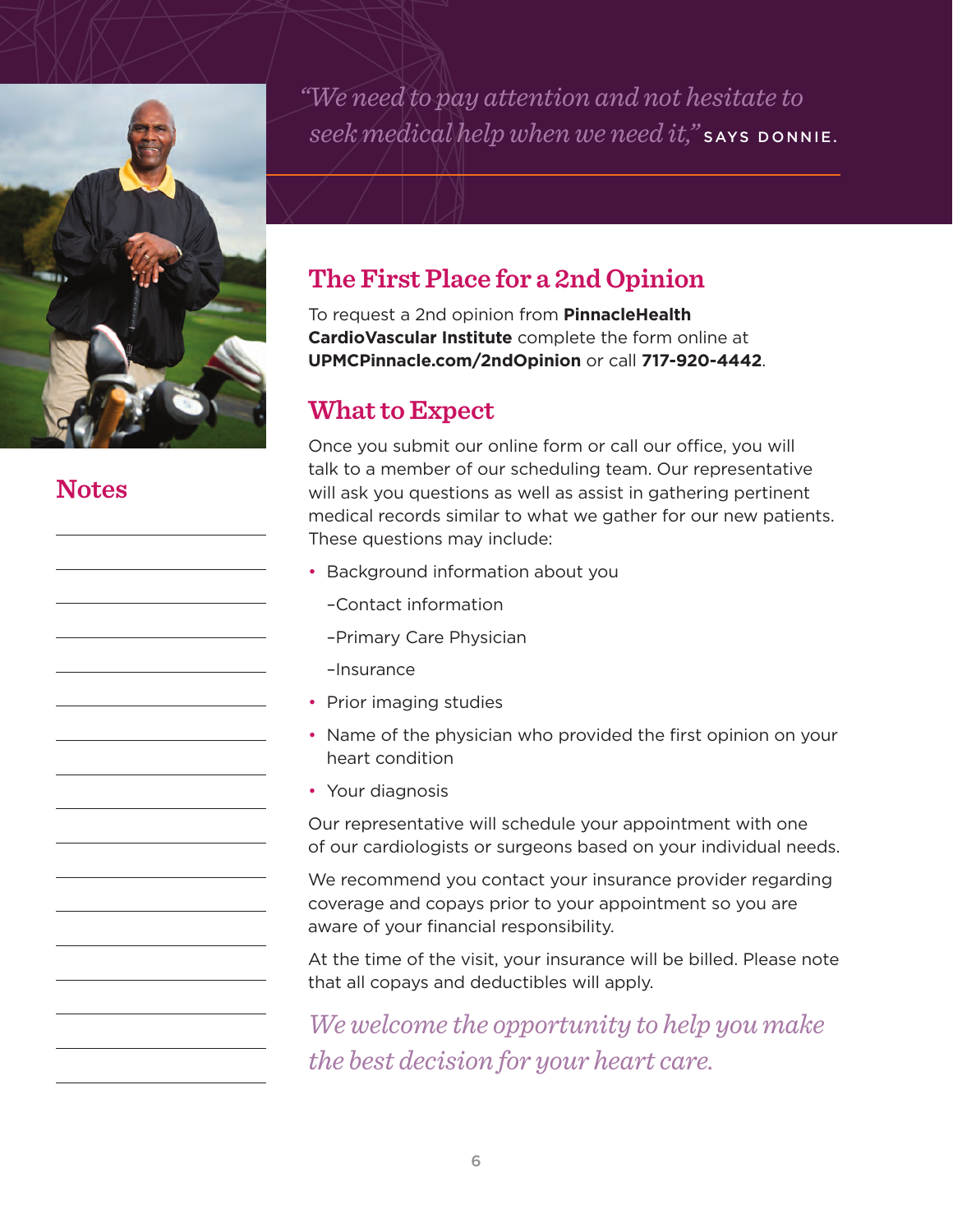

**Notes**

*"We need to pay attention and not hesitate to seek medical help when we need it,"* SAYS DONNIE.

# **The First Place for a 2nd Opinion**

To request a 2nd opinion from **PinnacleHealth CardioVascular Institute** complete the form online at **UPMCPinnacle.com/2ndOpinion** or call **717-920-4442**.

#### **What to Expect**

Once you submit our online form or call our office, you will talk to a member of our scheduling team. Our representative will ask you questions as well as assist in gathering pertinent medical records similar to what we gather for our new patients. These questions may include:

- Background information about you
	- –Contact information
	- –Primary Care Physician
	- –Insurance
- Prior imaging studies
- Name of the physician who provided the first opinion on your heart condition
- Your diagnosis

Our representative will schedule your appointment with one of our cardiologists or surgeons based on your individual needs.

We recommend you contact your insurance provider regarding coverage and copays prior to your appointment so you are aware of your financial responsibility.

At the time of the visit, your insurance will be billed. Please note that all copays and deductibles will apply.

*We welcome the opportunity to help you make the best decision for your heart care.*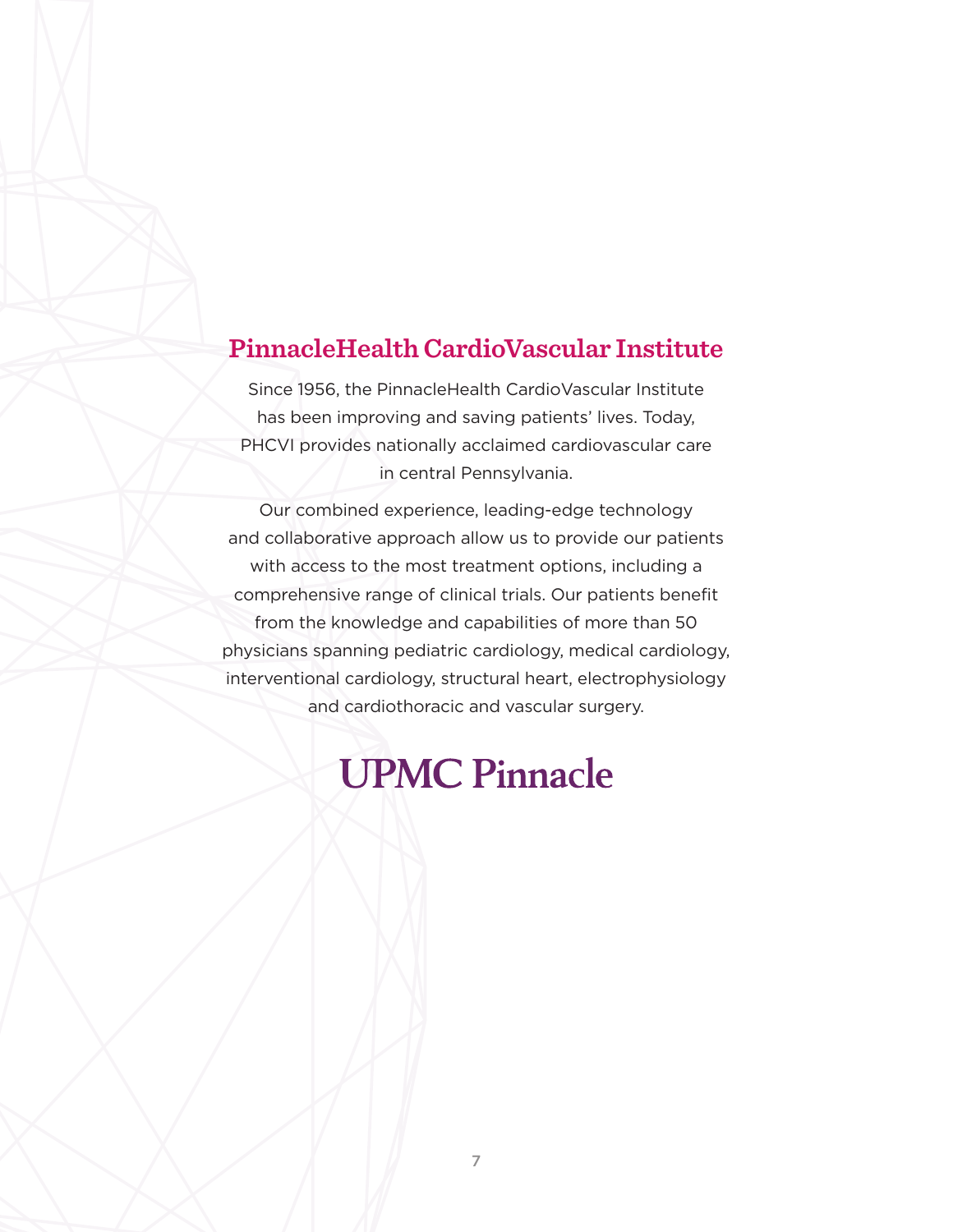#### **PinnacleHealth CardioVascular Institute**

Since 1956, the PinnacleHealth CardioVascular Institute has been improving and saving patients' lives. Today, PHCVI provides nationally acclaimed cardiovascular care in central Pennsylvania.

Our combined experience, leading-edge technology and collaborative approach allow us to provide our patients with access to the most treatment options, including a comprehensive range of clinical trials. Our patients benefit from the knowledge and capabilities of more than 50 physicians spanning pediatric cardiology, medical cardiology, interventional cardiology, structural heart, electrophysiology and cardiothoracic and vascular surgery.

# **UPMC Pinnacle**